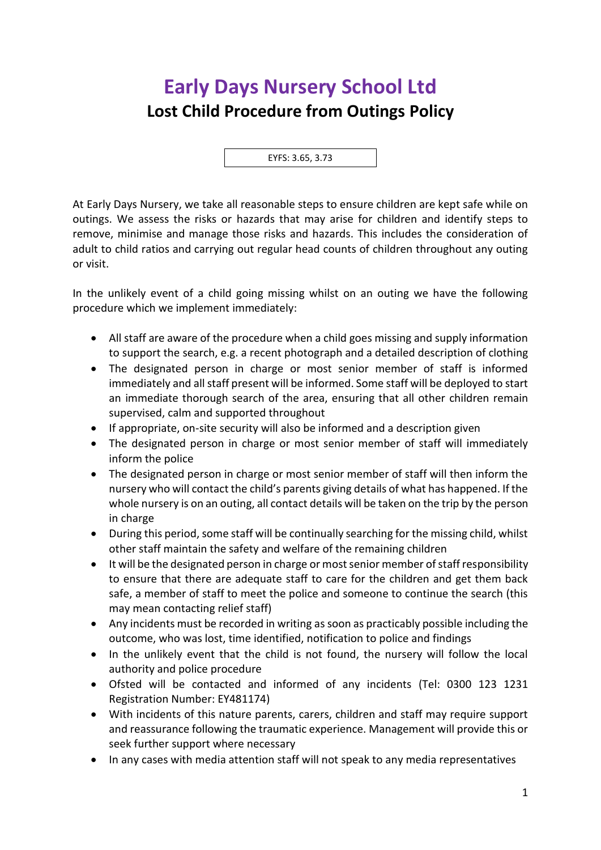## **Early Days Nursery School Ltd Lost Child Procedure from Outings Policy**

EYFS: 3.65, 3.73

At Early Days Nursery, we take all reasonable steps to ensure children are kept safe while on outings. We assess the risks or hazards that may arise for children and identify steps to remove, minimise and manage those risks and hazards. This includes the consideration of adult to child ratios and carrying out regular head counts of children throughout any outing or visit.

In the unlikely event of a child going missing whilst on an outing we have the following procedure which we implement immediately:

- All staff are aware of the procedure when a child goes missing and supply information to support the search, e.g. a recent photograph and a detailed description of clothing
- The designated person in charge or most senior member of staff is informed immediately and all staff present will be informed. Some staff will be deployed to start an immediate thorough search of the area, ensuring that all other children remain supervised, calm and supported throughout
- If appropriate, on-site security will also be informed and a description given
- The designated person in charge or most senior member of staff will immediately inform the police
- The designated person in charge or most senior member of staff will then inform the nursery who will contact the child's parents giving details of what has happened. If the whole nursery is on an outing, all contact details will be taken on the trip by the person in charge
- During this period, some staff will be continually searching for the missing child, whilst other staff maintain the safety and welfare of the remaining children
- It will be the designated person in charge or most senior member of staff responsibility to ensure that there are adequate staff to care for the children and get them back safe, a member of staff to meet the police and someone to continue the search (this may mean contacting relief staff)
- Any incidents must be recorded in writing as soon as practicably possible including the outcome, who was lost, time identified, notification to police and findings
- In the unlikely event that the child is not found, the nursery will follow the local authority and police procedure
- Ofsted will be contacted and informed of any incidents (Tel: 0300 123 1231 Registration Number: EY481174)
- With incidents of this nature parents, carers, children and staff may require support and reassurance following the traumatic experience. Management will provide this or seek further support where necessary
- In any cases with media attention staff will not speak to any media representatives